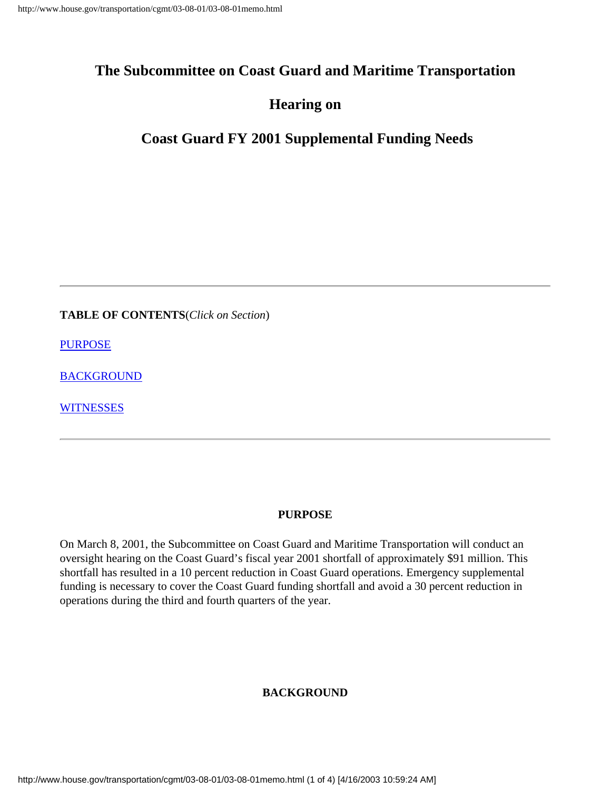## **The Subcommittee on Coast Guard and Maritime Transportation**

## **Hearing on**

# **Coast Guard FY 2001 Supplemental Funding Needs**

**TABLE OF CONTENTS**(*Click on Section*)

**[PURPOSE](#page-0-0)** 

[BACKGROUND](#page-0-1)

**[WITNESSES](#page-2-0)** 

#### **PURPOSE**

<span id="page-0-1"></span><span id="page-0-0"></span>On March 8, 2001, the Subcommittee on Coast Guard and Maritime Transportation will conduct an oversight hearing on the Coast Guard's fiscal year 2001 shortfall of approximately \$91 million. This shortfall has resulted in a 10 percent reduction in Coast Guard operations. Emergency supplemental funding is necessary to cover the Coast Guard funding shortfall and avoid a 30 percent reduction in operations during the third and fourth quarters of the year.

#### **BACKGROUND**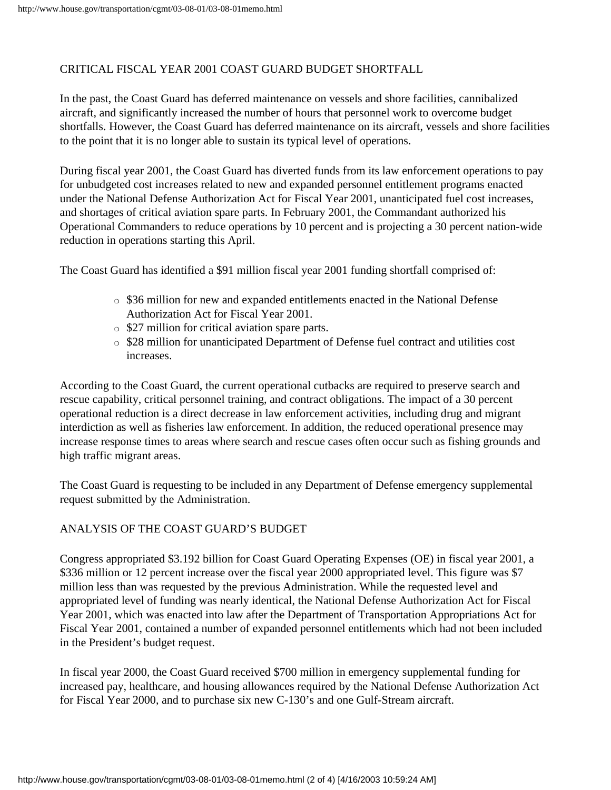### CRITICAL FISCAL YEAR 2001 COAST GUARD BUDGET SHORTFALL

In the past, the Coast Guard has deferred maintenance on vessels and shore facilities, cannibalized aircraft, and significantly increased the number of hours that personnel work to overcome budget shortfalls. However, the Coast Guard has deferred maintenance on its aircraft, vessels and shore facilities to the point that it is no longer able to sustain its typical level of operations.

During fiscal year 2001, the Coast Guard has diverted funds from its law enforcement operations to pay for unbudgeted cost increases related to new and expanded personnel entitlement programs enacted under the National Defense Authorization Act for Fiscal Year 2001, unanticipated fuel cost increases, and shortages of critical aviation spare parts. In February 2001, the Commandant authorized his Operational Commanders to reduce operations by 10 percent and is projecting a 30 percent nation-wide reduction in operations starting this April.

The Coast Guard has identified a \$91 million fiscal year 2001 funding shortfall comprised of:

- ❍ \$36 million for new and expanded entitlements enacted in the National Defense Authorization Act for Fiscal Year 2001.
- ❍ \$27 million for critical aviation spare parts.
- ❍ \$28 million for unanticipated Department of Defense fuel contract and utilities cost increases.

According to the Coast Guard, the current operational cutbacks are required to preserve search and rescue capability, critical personnel training, and contract obligations. The impact of a 30 percent operational reduction is a direct decrease in law enforcement activities, including drug and migrant interdiction as well as fisheries law enforcement. In addition, the reduced operational presence may increase response times to areas where search and rescue cases often occur such as fishing grounds and high traffic migrant areas.

The Coast Guard is requesting to be included in any Department of Defense emergency supplemental request submitted by the Administration.

#### ANALYSIS OF THE COAST GUARD'S BUDGET

Congress appropriated \$3.192 billion for Coast Guard Operating Expenses (OE) in fiscal year 2001, a \$336 million or 12 percent increase over the fiscal year 2000 appropriated level. This figure was \$7 million less than was requested by the previous Administration. While the requested level and appropriated level of funding was nearly identical, the National Defense Authorization Act for Fiscal Year 2001, which was enacted into law after the Department of Transportation Appropriations Act for Fiscal Year 2001, contained a number of expanded personnel entitlements which had not been included in the President's budget request.

In fiscal year 2000, the Coast Guard received \$700 million in emergency supplemental funding for increased pay, healthcare, and housing allowances required by the National Defense Authorization Act for Fiscal Year 2000, and to purchase six new C-130's and one Gulf-Stream aircraft.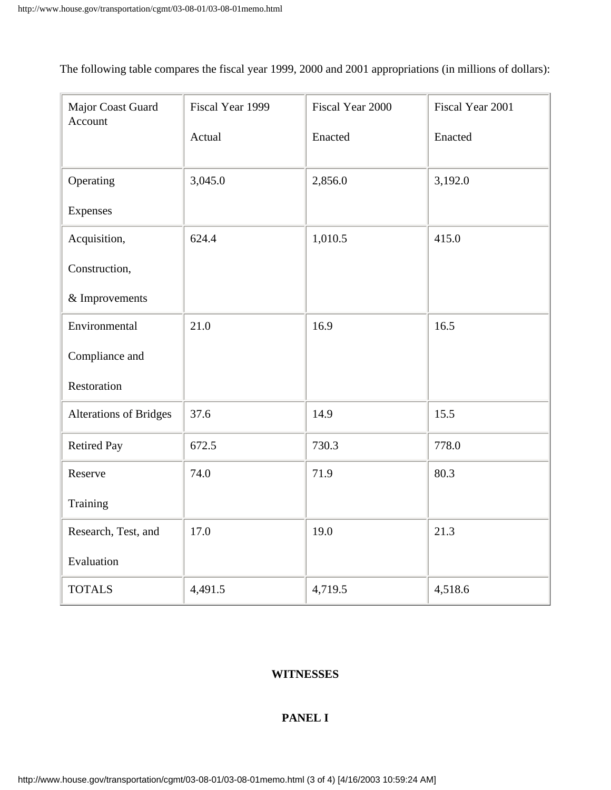The following table compares the fiscal year 1999, 2000 and 2001 appropriations (in millions of dollars):

| Major Coast Guard<br>Account  | Fiscal Year 1999 | Fiscal Year 2000 | Fiscal Year 2001 |
|-------------------------------|------------------|------------------|------------------|
|                               | Actual           | Enacted          | Enacted          |
| Operating                     | 3,045.0          | 2,856.0          | 3,192.0          |
| Expenses                      |                  |                  |                  |
| Acquisition,                  | 624.4            | 1,010.5          | 415.0            |
| Construction,                 |                  |                  |                  |
| & Improvements                |                  |                  |                  |
| Environmental                 | 21.0             | 16.9             | 16.5             |
| Compliance and                |                  |                  |                  |
| Restoration                   |                  |                  |                  |
| <b>Alterations of Bridges</b> | 37.6             | 14.9             | 15.5             |
| <b>Retired Pay</b>            | 672.5            | 730.3            | 778.0            |
| Reserve                       | 74.0             | 71.9             | 80.3             |
| Training                      |                  |                  |                  |
| Research, Test, and           | 17.0             | 19.0             | 21.3             |
| Evaluation                    |                  |                  |                  |
| <b>TOTALS</b>                 | 4,491.5          | 4,719.5          | 4,518.6          |

#### <span id="page-2-0"></span>**WITNESSES**

#### **PANEL I**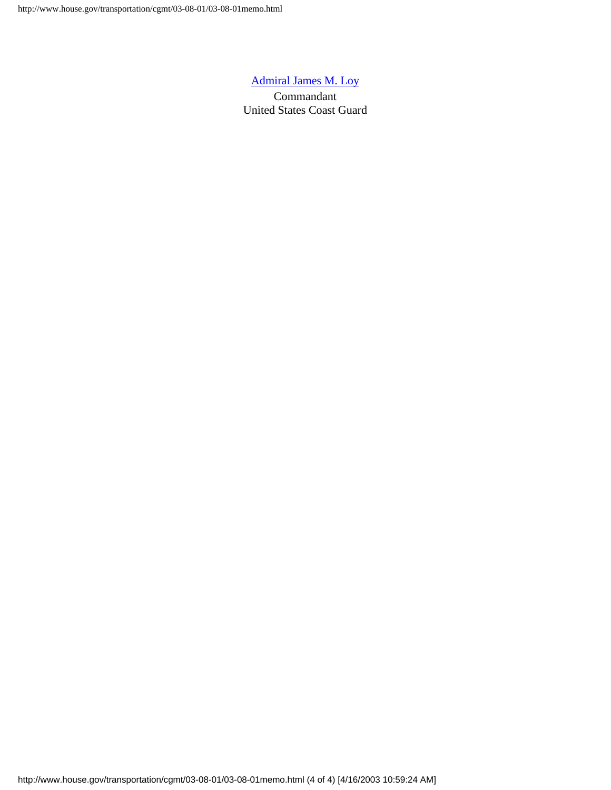#### [Admiral James M. Loy](#page-4-0)

Commandant United States Coast Guard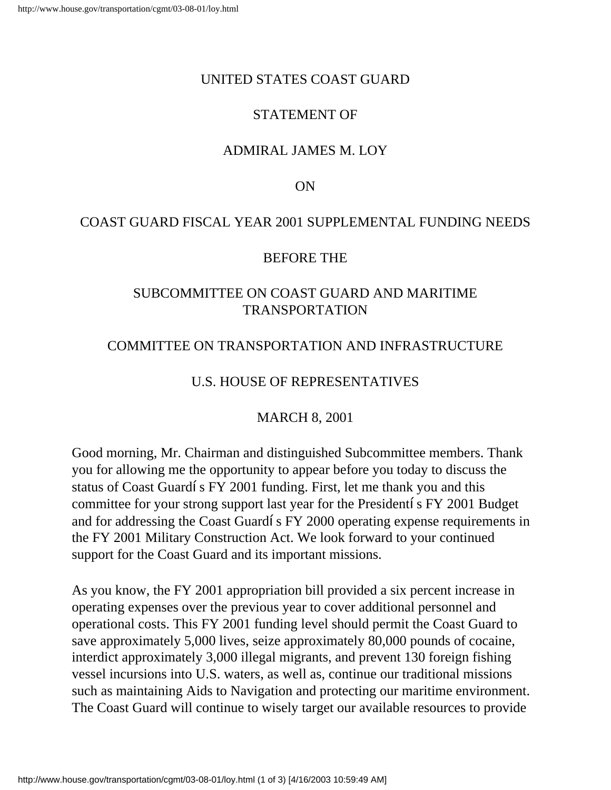### <span id="page-4-0"></span>UNITED STATES COAST GUARD

# STATEMENT OF

# ADMIRAL JAMES M. LOY

### ON

## COAST GUARD FISCAL YEAR 2001 SUPPLEMENTAL FUNDING NEEDS

### BEFORE THE

## SUBCOMMITTEE ON COAST GUARD AND MARITIME TRANSPORTATION

## COMMITTEE ON TRANSPORTATION AND INFRASTRUCTURE

## U.S. HOUSE OF REPRESENTATIVES

### MARCH 8, 2001

Good morning, Mr. Chairman and distinguished Subcommittee members. Thank you for allowing me the opportunity to appear before you today to discuss the status of Coast Guard's FY 2001 funding. First, let me thank you and this committee for your strong support last year for the President's FY 2001 Budget and for addressing the Coast Guard's FY 2000 operating expense requirements in the FY 2001 Military Construction Act. We look forward to your continued support for the Coast Guard and its important missions.

As you know, the FY 2001 appropriation bill provided a six percent increase in operating expenses over the previous year to cover additional personnel and operational costs. This FY 2001 funding level should permit the Coast Guard to save approximately 5,000 lives, seize approximately 80,000 pounds of cocaine, interdict approximately 3,000 illegal migrants, and prevent 130 foreign fishing vessel incursions into U.S. waters, as well as, continue our traditional missions such as maintaining Aids to Navigation and protecting our maritime environment. The Coast Guard will continue to wisely target our available resources to provide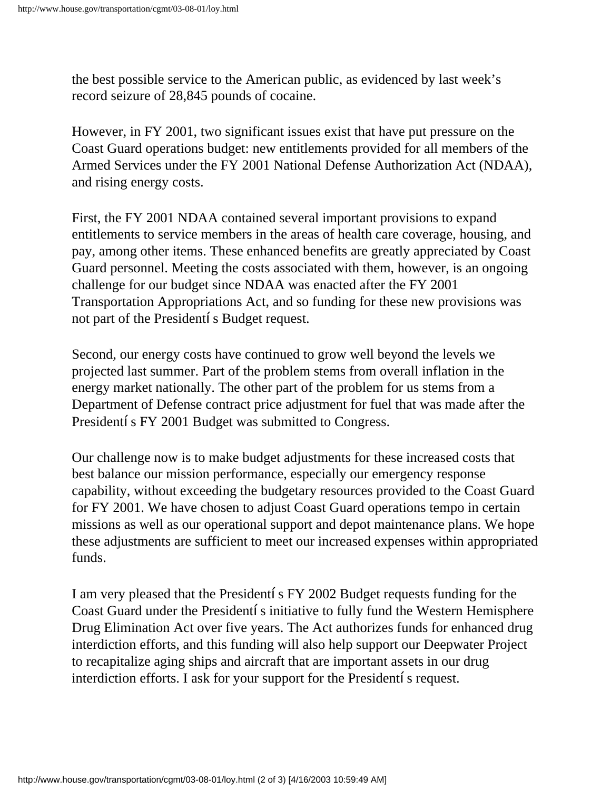the best possible service to the American public, as evidenced by last week's record seizure of 28,845 pounds of cocaine.

However, in FY 2001, two significant issues exist that have put pressure on the Coast Guard operations budget: new entitlements provided for all members of the Armed Services under the FY 2001 National Defense Authorization Act (NDAA), and rising energy costs.

First, the FY 2001 NDAA contained several important provisions to expand entitlements to service members in the areas of health care coverage, housing, and pay, among other items. These enhanced benefits are greatly appreciated by Coast Guard personnel. Meeting the costs associated with them, however, is an ongoing challenge for our budget since NDAA was enacted after the FY 2001 Transportation Appropriations Act, and so funding for these new provisions was not part of the President's Budget request.

Second, our energy costs have continued to grow well beyond the levels we projected last summer. Part of the problem stems from overall inflation in the energy market nationally. The other part of the problem for us stems from a Department of Defense contract price adjustment for fuel that was made after the President's FY 2001 Budget was submitted to Congress.

Our challenge now is to make budget adjustments for these increased costs that best balance our mission performance, especially our emergency response capability, without exceeding the budgetary resources provided to the Coast Guard for FY 2001. We have chosen to adjust Coast Guard operations tempo in certain missions as well as our operational support and depot maintenance plans. We hope these adjustments are sufficient to meet our increased expenses within appropriated funds.

I am very pleased that the President's FY 2002 Budget requests funding for the Coast Guard under the President's initiative to fully fund the Western Hemisphere Drug Elimination Act over five years. The Act authorizes funds for enhanced drug interdiction efforts, and this funding will also help support our Deepwater Project to recapitalize aging ships and aircraft that are important assets in our drug interdiction efforts. I ask for your support for the President's request.